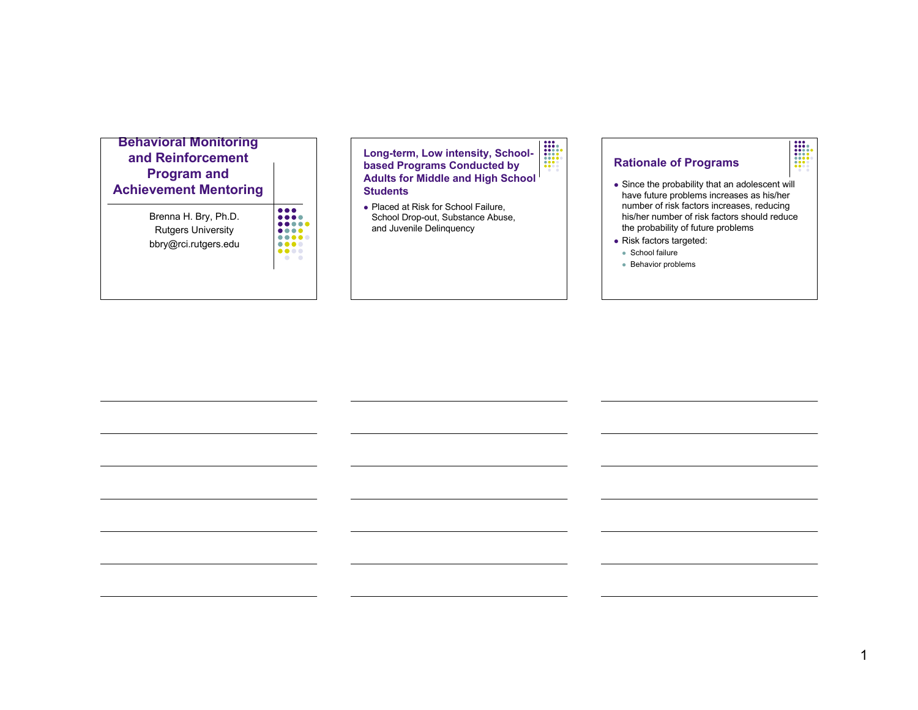## **Behavioral Monitoring and Reinforcement Program and Achievement Mentoring** Brenna H. Bry, Ph.D.

Rutgers University bbry@rci.rutgers.edu

 $\bullet\bullet\bullet\bullet$ 

 $\begin{array}{|c|} \hline \cdots \\ \hline \cdots \\ \hline \cdots \\ \hline \cdots \\ \hline \cdots \\ \hline \cdots \\ \hline \cdots \\ \hline \cdots \\ \hline \cdots \\ \hline \cdots \\ \hline \cdots \\ \hline \cdots \\ \hline \cdots \\ \hline \cdots \\ \hline \cdots \\ \hline \cdots \\ \hline \cdots \\ \hline \cdots \\ \hline \cdots \\ \hline \cdots \\ \hline \cdots \\ \hline \cdots \\ \hline \cdots \\ \hline \cdots \\ \hline \cdots \\ \hline \cdots \\ \hline \cdots \\ \hline \cdots \\ \hline \cdots \\ \hline \cdots \\ \$ **Long-term, Low intensity, Schoolbased Programs Conducted by Adults for Middle and High School Students**

• Placed at Risk for School Failure, School Drop-out, Substance Abuse, and Juvenile Delinquency

## **Rationale of Programs**

 Since the probability that an adolescent will have future problems increases as his/her number of risk factors increases, reducing his/her number of risk factors should reduce the probability of future problems

I

- Risk factors targeted:
- School failure
- Behavior problems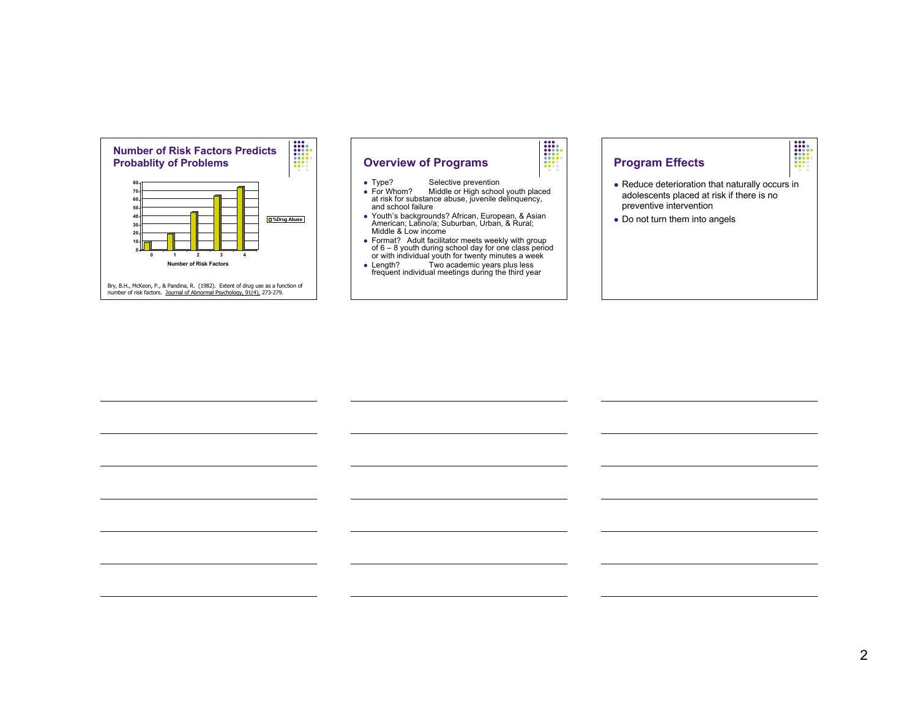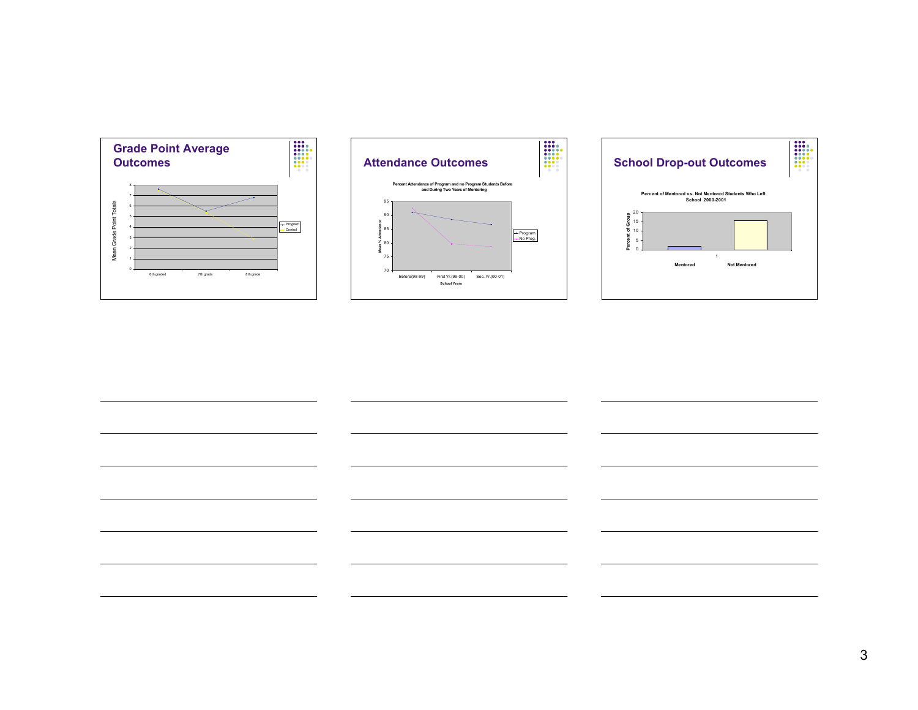





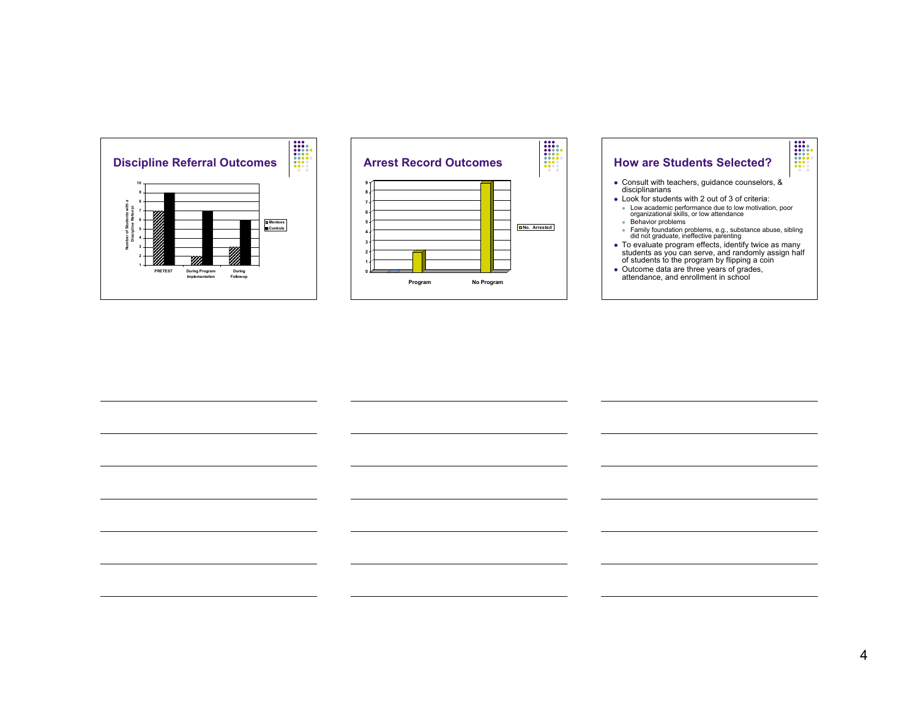



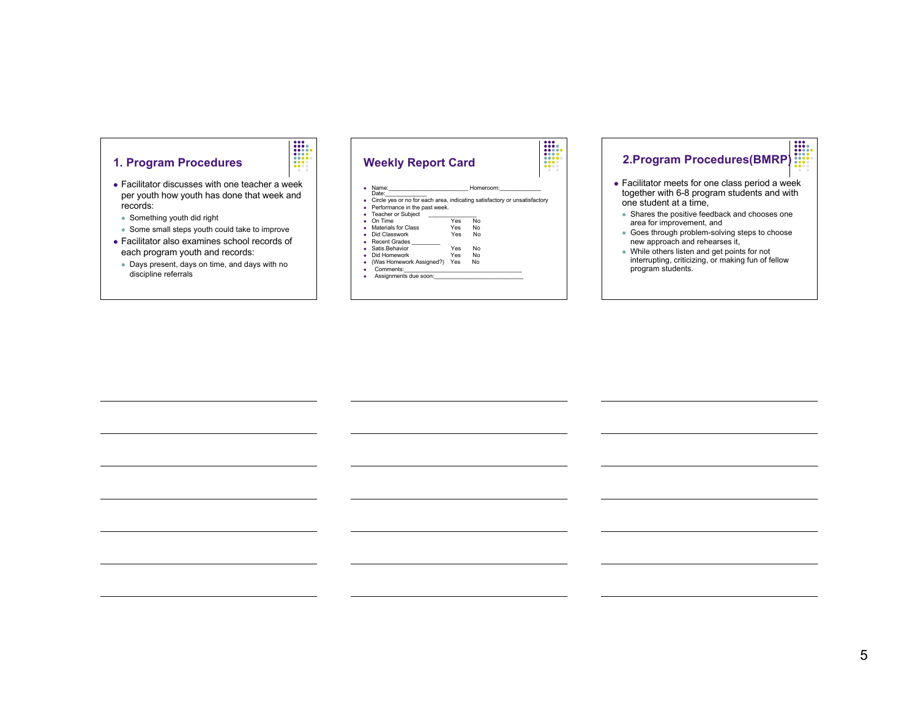

 Facilitator discusses with one teacher a week per youth how youth has done that week and records:

 $\frac{1}{1}$ 

- Something youth did right
- Some small steps youth could take to improve
- Facilitator also examines school records of each program youth and records:
- Days present, days on time, and days with no discipline referrals



# **2.Program Procedures(BMRP)**

- Facilitator meets for one class period a week together with 6-8 program students and with one student at a time,
- Shares the positive feedback and chooses one area for improvement, and
- Goes through problem-solving steps to choose new approach and rehearses it,
- While others listen and get points for not interrupting, criticizing, or making fun of fellow program students.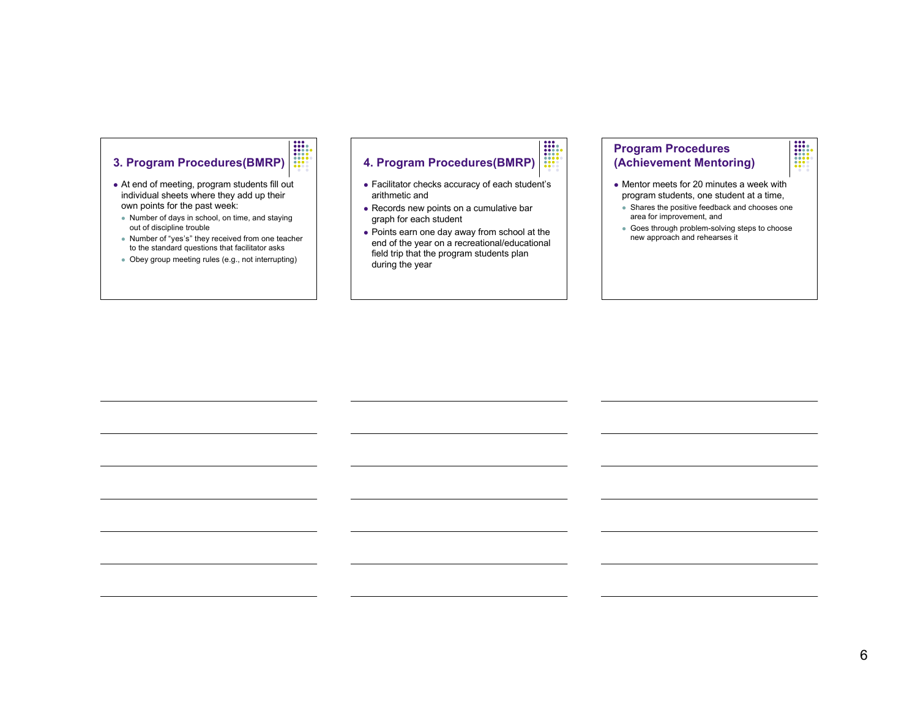## $\begin{array}{|c|c|} \hline \textbf{111} & \textbf{121} \\ \hline \textbf{111} & \textbf{121} \\ \textbf{111} & \textbf{121} \\ \textbf{121} & \textbf{121} \\ \textbf{131} & \textbf{131} \\ \textbf{141} & \textbf{141} \\ \textbf{151} & \textbf{151} \\ \hline \end{array}$ **3. Program Procedures(BMRP)**

- At end of meeting, program students fill out individual sheets where they add up their own points for the past week:
- Number of days in school, on time, and staying out of discipline trouble
- Number of "yes's" they received from one teacher to the standard questions that facilitator asks
- Obey group meeting rules (e.g., not interrupting)

## $\begin{array}{|c|} \hline \textbf{111} & \textbf{121} \\ \hline \textbf{111} & \textbf{111} \\ \textbf{111} & \textbf{111} \\ \textbf{111} & \textbf{111} \\ \textbf{111} & \textbf{111} \\ \hline \textbf{111} & \textbf{111} \\ \hline \textbf{111} & \textbf{111} \\ \hline \textbf{111} & \textbf{111} \\ \hline \textbf{111} & \textbf{111} \\ \hline \textbf{111} & \textbf{111} \\ \hline \textbf{111$ **4. Program Procedures(BMRP)**

- Facilitator checks accuracy of each student's arithmetic and
- Records new points on a cumulative bar graph for each student
- Points earn one day away from school at the end of the year on a recreational/educational field trip that the program students plan during the year

## **Program Procedures (Achievement Mentoring)**

- Mentor meets for 20 minutes a week with program students, one student at a time,
- Shares the positive feedback and chooses one area for improvement, and

 $\begin{array}{|c|} \hline \textbf{0} & \textbf{0} & \textbf{0} \\ \hline \textbf{0} & \textbf{0} & \textbf{0} \\ \hline \textbf{0} & \textbf{0} & \textbf{0} \\ \hline \textbf{0} & \textbf{0} & \textbf{0} \\ \hline \textbf{0} & \textbf{0} & \textbf{0} \\ \hline \textbf{0} & \textbf{0} & \textbf{0} \\ \hline \textbf{0} & \textbf{0} & \textbf{0} \\ \hline \end{array}$ 

 Goes through problem-solving steps to choose new approach and rehearses it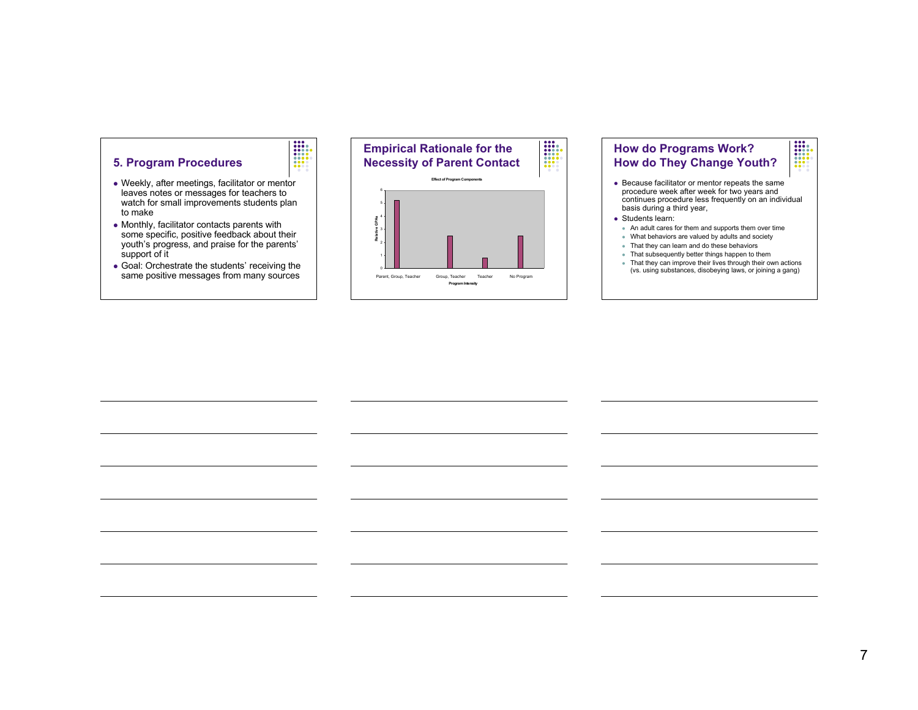

 Weekly, after meetings, facilitator or mentor leaves notes or messages for teachers to watch for small improvements students plan to make

 $\frac{1}{1}$ 

- Monthly, facilitator contacts parents with some specific, positive feedback about their youth's progress, and praise for the parents' support of it
- Goal: Orchestrate the students' receiving the same positive messages from many sources





#### • Students learn:

- An adult cares for them and supports them over time • What behaviors are valued by adults and society
- That they can learn and do these behaviors
- That subsequently better things happen to them
- That they can improve their lives through their own actions (vs. using substances, disobeying laws, or joining a gang)

7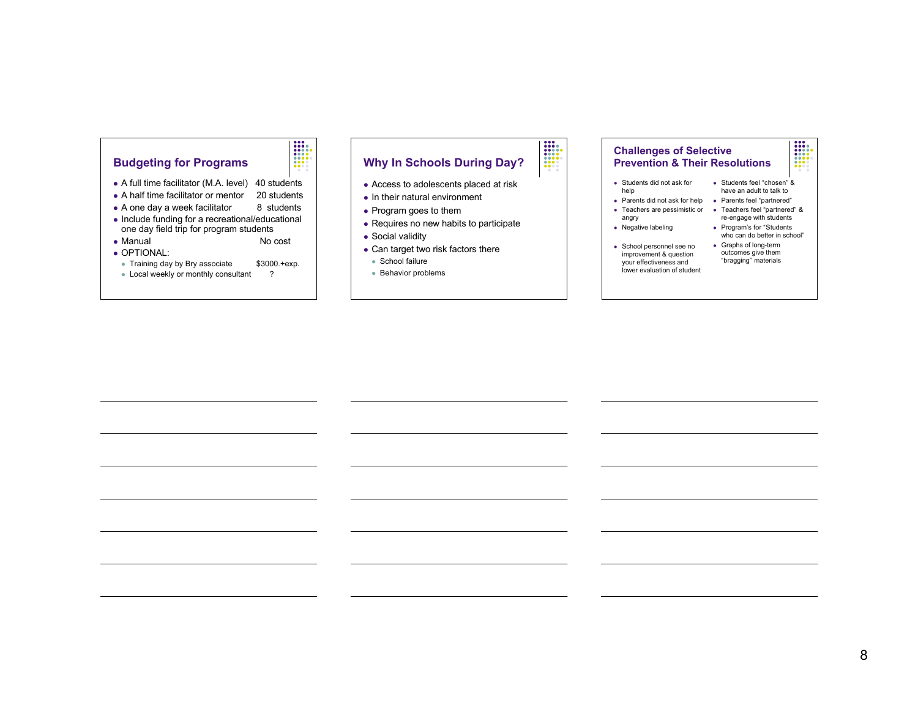

• A full time facilitator (M.A. level) 40 students

 $\begin{array}{|c|} \hline \textbf{111} & \textbf{121} \\ \hline \textbf{111} & \textbf{111} \\ \hline \textbf{111} & \textbf{111} \\ \hline \textbf{111} & \textbf{111} \\ \hline \textbf{111} & \textbf{111} \\ \hline \textbf{111} & \textbf{111} \\ \hline \textbf{111} & \textbf{111} \\ \hline \textbf{111} & \textbf{111} \\ \hline \textbf{111} & \textbf{111} \\ \hline \textbf{111} & \textbf{111} \\ \$ 

- A half time facilitator or mentor 20 students
- $\bullet$  A one day a week facilitator  $\qquad$  8 students
- Include funding for a recreational/educational
- one day field trip for program students • Manual No cost
- OPTIONAL:
- Training day by Bry associate \$3000.+exp.
- Local weekly or monthly consultant ?

## **Why In Schools During Day?**

 $\begin{array}{|c|c|} \hline \textbf{111} & \textbf{121} \\ \hline \textbf{111} & \textbf{111} \\ \hline \textbf{111} & \textbf{111} \\ \hline \textbf{111} & \textbf{111} \\ \hline \textbf{111} & \textbf{111} \\ \hline \textbf{111} & \textbf{111} \\ \hline \textbf{111} & \textbf{111} \\ \hline \textbf{111} & \textbf{111} \\ \hline \textbf{111} & \textbf{111} \\ \hline \textbf{111} & \textbf{111}$ 

- Access to adolescents placed at risk
- $\bullet$  In their natural environment
- Program goes to them
- Requires no new habits to participate
- Social validity
- Can target two risk factors there
- School failure
- Behavior problems

### **Challenges of Selective Prevention & Their Resolutions**

- Students did not ask for help Students feel "chosen" &
	-
- Teachers are pessimistic or Teachers feel "partnered" &
- angry • Negative labeling
	-
- School personnel see no improvement & question your effectiveness and lower evaluation of student
- Parents did not ask for help Parents feel "partnered" have an adult to talk to re-engage with students

I

- Program's for "Students who can do better in school" Graphs of long-term
- outcomes give them "bragging" materials

8